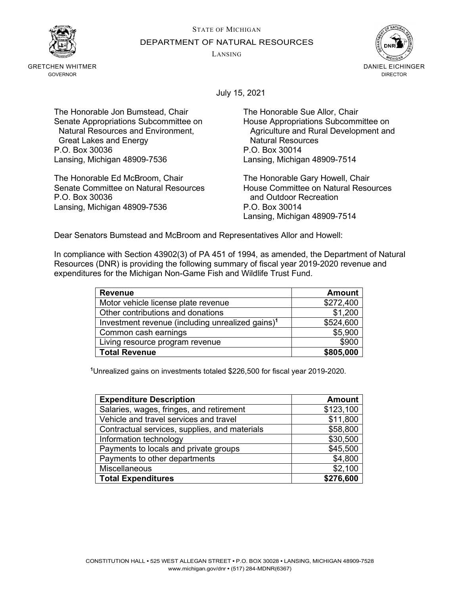STATE OF MICHIGAN



GRETCHEN WHITMER GOVERNOR

DEPARTMENT OF NATURAL RESOURCES

LANSING



July 15, 2021

The Honorable Jon Bumstead, Chair The Honorable Sue Allor, Chair Senate Appropriations Subcommittee on Fouse Appropriations Subcommittee on<br>Natural Resources and Environment, Appropriations and Rural Development and Great Lakes and Energy **Natural Resources**<br>
G. Box 30036 <br>
P.O. Box 30014 P.O. Box 30036 Lansing, Michigan 48909-7536 Lansing, Michigan 48909-7514

The Honorable Ed McBroom, Chair The Honorable Gary Howell, Chair Senate Committee on Natural Resources<br>P.O. Box 30036 **House Committee on Natural Resources**<br>and Outdoor Recreation Lansing, Michigan 48909-7536 P.O. Box 30014

Agriculture and Rural Development and

and Outdoor Recreation Lansing, Michigan 48909-7514

Dear Senators Bumstead and McBroom and Representatives Allor and Howell:

In compliance with Section 43902(3) of PA 451 of 1994, as amended, the Department of Natural Resources (DNR) is providing the following summary of fiscal year 2019-2020 revenue and expenditures for the Michigan Non-Game Fish and Wildlife Trust Fund.

| <b>Revenue</b>                                               | <b>Amount</b> |
|--------------------------------------------------------------|---------------|
| Motor vehicle license plate revenue                          | \$272,400     |
| Other contributions and donations                            | \$1,200       |
| Investment revenue (including unrealized gains) <sup>1</sup> | \$524,600     |
| Common cash earnings                                         | \$5,900       |
| Living resource program revenue                              | \$900         |
| <b>Total Revenue</b>                                         | \$805,000     |

**<sup>1</sup>**Unrealized gains on investments totaled \$226,500 for fiscal year 2019-2020.

| <b>Expenditure Description</b>                | <b>Amount</b> |
|-----------------------------------------------|---------------|
| Salaries, wages, fringes, and retirement      | \$123,100     |
| Vehicle and travel services and travel        | \$11,800      |
| Contractual services, supplies, and materials | \$58,800      |
| Information technology                        | \$30,500      |
| Payments to locals and private groups         | \$45,500      |
| Payments to other departments                 | \$4,800       |
| Miscellaneous                                 | \$2,100       |
| <b>Total Expenditures</b>                     | \$276,600     |